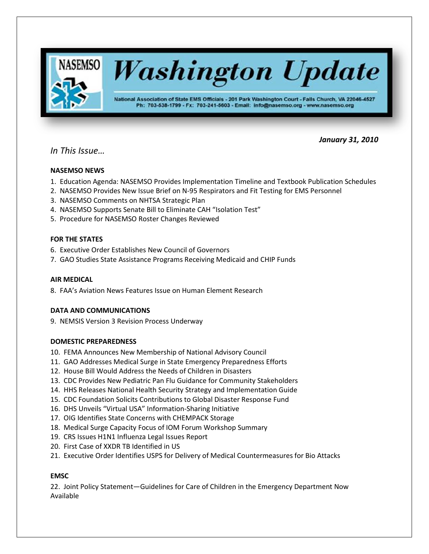

# *In This Issue…*

# **NASEMSO NEWS**

1. Education Agenda: NASEMSO Provides Implementation Timeline and Textbook Publication Schedules

 *January 31, 2010*

- 2. NASEMSO Provides New Issue Brief on N-95 Respirators and Fit Testing for EMS Personnel
- 3. NASEMSO Comments on NHTSA Strategic Plan
- 4. NASEMSO Supports Senate Bill to Eliminate CAH "Isolation Test"
- 5. Procedure for NASEMSO Roster Changes Reviewed

# **FOR THE STATES**

- 6. Executive Order Establishes New Council of Governors
- 7. GAO Studies State Assistance Programs Receiving Medicaid and CHIP Funds

# **AIR MEDICAL**

8. FAA's Aviation News Features Issue on Human Element Research

# **DATA AND COMMUNICATIONS**

9. NEMSIS Version 3 Revision Process Underway

# **DOMESTIC PREPAREDNESS**

- 10. FEMA Announces New Membership of National Advisory Council
- 11. GAO Addresses Medical Surge in State Emergency Preparedness Efforts
- 12. House Bill Would Address the Needs of Children in Disasters
- 13. CDC Provides New Pediatric Pan Flu Guidance for Community Stakeholders
- 14. HHS Releases National Health Security Strategy and Implementation Guide
- 15. CDC Foundation Solicits Contributions to Global Disaster Response Fund
- 16. DHS Unveils "Virtual USA" Information-Sharing Initiative
- 17. OIG Identifies State Concerns with CHEMPACK Storage
- 18. Medical Surge Capacity Focus of IOM Forum Workshop Summary
- 19. CRS Issues H1N1 Influenza Legal Issues Report
- 20. First Case of XXDR TB Identified in US
- 21. Executive Order Identifies USPS for Delivery of Medical Countermeasures for Bio Attacks

# **EMSC**

22. Joint Policy Statement—Guidelines for Care of Children in the Emergency Department Now Available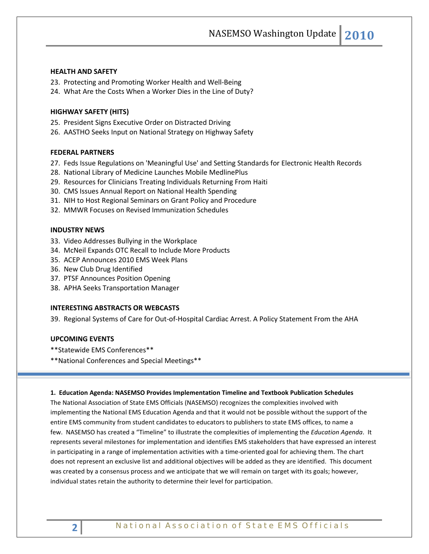NASEMSO Washington Update **2010**

### **HEALTH AND SAFETY**

- 23. Protecting and Promoting Worker Health and Well-Being
- 24. What Are the Costs When a Worker Dies in the Line of Duty?

#### **HIGHWAY SAFETY (HITS)**

- 25. President Signs Executive Order on Distracted Driving
- 26. AASTHO Seeks Input on National Strategy on Highway Safety

### **FEDERAL PARTNERS**

- 27. Feds Issue Regulations on 'Meaningful Use' and Setting Standards for Electronic Health Records
- 28. National Library of Medicine Launches Mobile MedlinePlus
- 29. Resources for Clinicians Treating Individuals Returning From Haiti
- 30. CMS Issues Annual Report on National Health Spending
- 31. NIH to Host Regional Seminars on Grant Policy and Procedure
- 32. MMWR Focuses on Revised Immunization Schedules

# **INDUSTRY NEWS**

- 33. Video Addresses Bullying in the Workplace
- 34. McNeil Expands OTC Recall to Include More Products
- 35. ACEP Announces 2010 EMS Week Plans
- 36. New Club Drug Identified
- 37. PTSF Announces Position Opening
- 38. APHA Seeks Transportation Manager

### **INTERESTING ABSTRACTS OR WEBCASTS**

39. Regional Systems of Care for Out-of-Hospital Cardiac Arrest. A Policy Statement From the AHA

### **UPCOMING EVENTS**

- \*\*Statewide EMS Conferences\*\*
- \*\*National Conferences and Special Meetings\*\*

#### **1. Education Agenda: NASEMSO Provides Implementation Timeline and Textbook Publication Schedules**

The National Association of State EMS Officials (NASEMSO) recognizes the complexities involved with implementing the National EMS Education Agenda and that it would not be possible without the support of the entire EMS community from student candidates to educators to publishers to state EMS offices, to name a few. NASEMSO has created a "Timeline" to illustrate the complexities of implementing the *Education Agenda*. It represents several milestones for implementation and identifies EMS stakeholders that have expressed an interest in participating in a range of implementation activities with a time-oriented goal for achieving them. The chart does not represent an exclusive list and additional objectives will be added as they are identified. This document was created by a consensus process and we anticipate that we will remain on target with its goals; however, individual states retain the authority to determine their level for participation.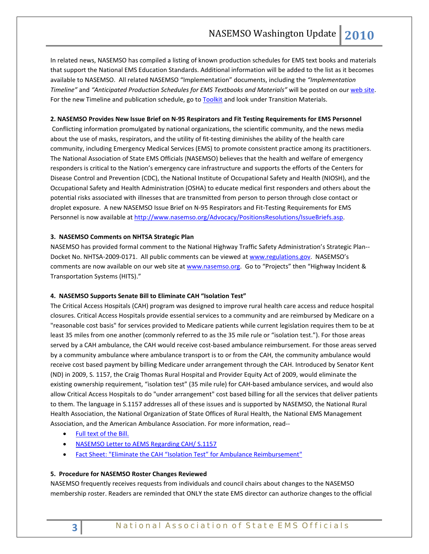In related news, NASEMSO has compiled a listing of known production schedules for EMS text books and materials that support the National EMS Education Standards. Additional information will be added to the list as it becomes available to NASEMSO. All related NASEMSO "Implementation" documents, including the *"Implementation Timeline"* and *"Anticipated Production Schedules for EMS Textbooks and Materials"* will be posted on ou[r web site.](http://www.nasemso.org/EMSEducationImplementationPlanning/index.asp) For the new Timeline and publication schedule, go t[o Toolkit](http://www.nasemso.org/EMSEducationImplementationPlanning/Toolkit.asp) and look under Transition Materials.

### **2. NASEMSO Provides New Issue Brief on N-95 Respirators and Fit Testing Requirements for EMS Personnel**

Conflicting information promulgated by national organizations, the scientific community, and the news media about the use of masks, respirators, and the utility of fit-testing diminishes the ability of the health care community, including Emergency Medical Services (EMS) to promote consistent practice among its practitioners. The National Association of State EMS Officials (NASEMSO) believes that the health and welfare of emergency responders is critical to the Nation's emergency care infrastructure and supports the efforts of the Centers for Disease Control and Prevention (CDC), the National Institute of Occupational Safety and Health (NIOSH), and the Occupational Safety and Health Administration (OSHA) to educate medical first responders and others about the potential risks associated with illnesses that are transmitted from person to person through close contact or droplet exposure. A new NASEMSO Issue Brief on N-95 Respirators and Fit-Testing Requirements for EMS Personnel is now available at [http://www.nasemso.org/Advocacy/PositionsResolutions/IssueBriefs.asp.](http://www.nasemso.org/Advocacy/PositionsResolutions/IssueBriefs.asp)

### **3. NASEMSO Comments on NHTSA Strategic Plan**

NASEMSO has provided formal comment to the National Highway Traffic Safety Administration's Strategic Plan- Docket No. NHTSA-2009-0171. All public comments can be viewed a[t www.regulations.gov.](http://www.regulations.gov/) NASEMSO's comments are now available on our web site at [www.nasemso.org.](http://www.nasemso.org/) Go to "Projects" then "Highway Incident & Transportation Systems (HITS)."

#### **4. NASEMSO Supports Senate Bill to Eliminate CAH "Isolation Test"**

The Critical Access Hospitals (CAH) program was designed to improve rural health care access and reduce hospital closures. Critical Access Hospitals provide essential services to a community and are reimbursed by Medicare on a "reasonable cost basis" for services provided to Medicare patients while current legislation requires them to be at least 35 miles from one another (commonly referred to as the 35 mile rule or "isolation test."). For those areas served by a CAH ambulance, the CAH would receive cost-based ambulance reimbursement. For those areas served by a community ambulance where ambulance transport is to or from the CAH, the community ambulance would receive cost based payment by billing Medicare under arrangement through the CAH. Introduced by Senator Kent (ND) in 2009, S. 1157, the Craig Thomas Rural Hospital and Provider Equity Act of 2009, would eliminate the existing ownership requirement, "isolation test" (35 mile rule) for CAH-based ambulance services, and would also allow Critical Access Hospitals to do "under arrangement" cost based billing for all the services that deliver patients to them. The language in S.1157 addresses all of these issues and is supported by NASEMSO, the National Rural Health Association, the National Organization of State Offices of Rural Health, the National EMS Management Association, and the American Ambulance Association. For more information, read--

- [Full text of the Bill.](http://thomas.loc.gov/cgi-bin/query/z?c111:S.1157.IS:)
- [NASEMSO Letter to AEMS Regarding CAH/ S.1157](http://www.nasemso.org/Advocacy/PositionsResolutions/documents/AEMSassistancerequestreCAH35mile.pdf)
- [Fact Sheet: "Eliminate the CAH "Isolation Test" for Ambulance Reimbursement"](http://www.nasemso.org/Advocacy/PositionsResolutions/documents/FactSheetEliminatetheCAHIsolationTestforAmbulanceReimbursement.doc)

### **5. Procedure for NASEMSO Roster Changes Reviewed**

NASEMSO frequently receives requests from individuals and council chairs about changes to the NASEMSO membership roster. Readers are reminded that ONLY the state EMS director can authorize changes to the official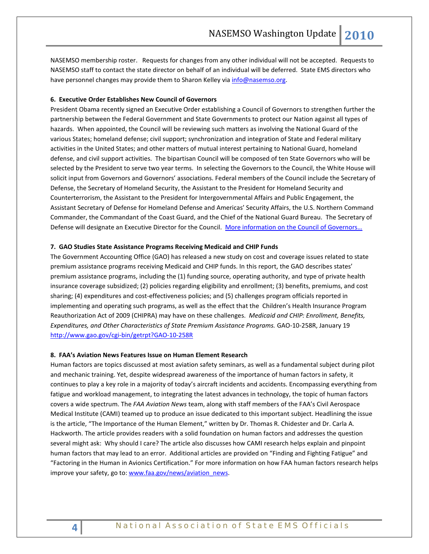NASEMSO membership roster. Requests for changes from any other individual will not be accepted. Requests to NASEMSO staff to contact the state director on behalf of an individual will be deferred. State EMS directors who have personnel changes may provide them to Sharon Kelley via [info@nasemso.org.](mailto:info@nasemso.org)

### **6. Executive Order Establishes New Council of Governors**

President Obama recently signed an Executive Order establishing a Council of Governors to strengthen further the partnership between the Federal Government and State Governments to protect our Nation against all types of hazards. When appointed, the Council will be reviewing such matters as involving the National Guard of the various States; homeland defense; civil support; synchronization and integration of State and Federal military activities in the United States; and other matters of mutual interest pertaining to National Guard, homeland defense, and civil support activities. The bipartisan Council will be composed of ten State Governors who will be selected by the President to serve two year terms. In selecting the Governors to the Council, the White House will solicit input from Governors and Governors' associations. Federal members of the Council include the Secretary of Defense, the Secretary of Homeland Security, the Assistant to the President for Homeland Security and Counterterrorism, the Assistant to the President for Intergovernmental Affairs and Public Engagement, the Assistant Secretary of Defense for Homeland Defense and Americas' Security Affairs, the U.S. Northern Command Commander, the Commandant of the Coast Guard, and the Chief of the National Guard Bureau. The Secretary of Defense will designate an Executive Director for the Council. More information on the Council of Governors...

#### **7. GAO Studies State Assistance Programs Receiving Medicaid and CHIP Funds**

The Government Accounting Office (GAO) has released a new study on cost and coverage issues related to state premium assistance programs receiving Medicaid and CHIP funds. In this report, the GAO describes states' premium assistance programs, including the (1) funding source, operating authority, and type of private health insurance coverage subsidized; (2) policies regarding eligibility and enrollment; (3) benefits, premiums, and cost sharing; (4) expenditures and cost-effectiveness policies; and (5) challenges program officials reported in implementing and operating such programs, as well as the effect that the Children's Health Insurance Program Reauthorization Act of 2009 (CHIPRA) may have on these challenges. *Medicaid and CHIP: Enrollment, Benefits, Expenditures, and Other Characteristics of State Premium Assistance Programs.* GAO-10-258R, January 19 <http://www.gao.gov/cgi-bin/getrpt?GAO-10-258R>

#### **8. FAA's Aviation News Features Issue on Human Element Research**

Human factors are topics discussed at most aviation safety seminars, as well as a fundamental subject during pilot and mechanic training. Yet, despite widespread awareness of the importance of human factors in safety, it continues to play a key role in a majority of today's aircraft incidents and accidents. Encompassing everything from fatigue and workload management, to integrating the latest advances in technology, the topic of human factors covers a wide spectrum. The *FAA Aviation News* team, along with staff members of the FAA's Civil Aerospace Medical Institute (CAMI) teamed up to produce an issue dedicated to this important subject. Headlining the issue is the article, "The Importance of the Human Element," written by Dr. Thomas R. Chidester and Dr. Carla A. Hackworth. The article provides readers with a solid foundation on human factors and addresses the question several might ask: Why should I care? The article also discusses how CAMI research helps explain and pinpoint human factors that may lead to an error. Additional articles are provided on "Finding and Fighting Fatigue" and "Factoring in the Human in Avionics Certification." For more information on how FAA human factors research helps improve your safety, go to: [www.faa.gov/news/aviation\\_news.](http://www.faa.gov/news/aviation_news)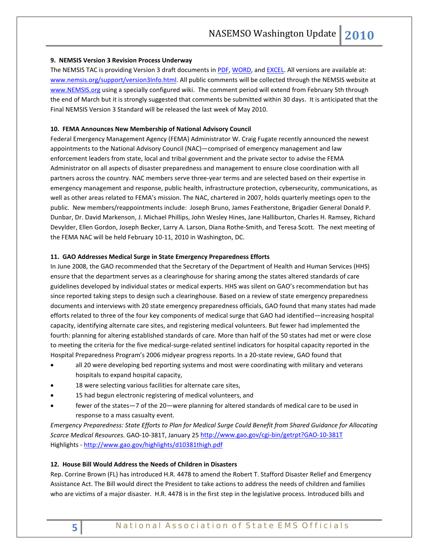### **9. NEMSIS Version 3 Revision Process Underway**

The NEMSIS TAC is providing Version 3 draft documents i[n PDF,](http://www.nemsis.org/media/pdf/NEMSISV3Draft6-1-2009_000.pdf) [WORD,](http://www.nemsis.org/media/doc/NEMSISV3Draft6-1-2009_000.doc) and [EXCEL.](http://www.nemsis.org/media/xls/NEMSISV3Draft6-1-2009_000.xls) All versions are available at: [www.nemsis.org/support/version3Info.html.](http://www.nemsis.org/support/version3Info.html) All public comments will be collected through the NEMSIS website at [www.NEMSIS.org](http://www.nemsis.org/) using a specially configured wiki. The comment period will extend from February 5th through the end of March but it is strongly suggested that comments be submitted within 30 days. It is anticipated that the Final NEMSIS Version 3 Standard will be released the last week of May 2010.

#### **10. FEMA Announces New Membership of National Advisory Council**

Federal Emergency Management Agency (FEMA) Administrator W. Craig Fugate recently announced the newest appointments to the National Advisory Council (NAC)—comprised of emergency management and law enforcement leaders from state, local and tribal government and the private sector to advise the FEMA Administrator on all aspects of disaster preparedness and management to ensure close coordination with all partners across the country. NAC members serve three-year terms and are selected based on their expertise in emergency management and response, public health, infrastructure protection, cybersecurity, communications, as well as other areas related to FEMA's mission. The NAC, chartered in 2007, holds quarterly meetings open to the public. New members/reappointments include: Joseph Bruno, James Featherstone, Brigadier General Donald P. Dunbar, Dr. David Markenson, J. Michael Phillips, John Wesley Hines, Jane Halliburton, Charles H. Ramsey, Richard Devylder, Ellen Gordon, Joseph Becker, Larry A. Larson, Diana Rothe-Smith, and Teresa Scott. The next meeting of the FEMA NAC will be held February 10-11, 2010 in Washington, DC.

#### **11. GAO Addresses Medical Surge in State Emergency Preparedness Efforts**

In June 2008, the GAO recommended that the Secretary of the Department of Health and Human Services (HHS) ensure that the department serves as a clearinghouse for sharing among the states altered standards of care guidelines developed by individual states or medical experts. HHS was silent on GAO's recommendation but has since reported taking steps to design such a clearinghouse. Based on a review of state emergency preparedness documents and interviews with 20 state emergency preparedness officials, GAO found that many states had made efforts related to three of the four key components of medical surge that GAO had identified—increasing hospital capacity, identifying alternate care sites, and registering medical volunteers. But fewer had implemented the fourth: planning for altering established standards of care. More than half of the 50 states had met or were close to meeting the criteria for the five medical-surge-related sentinel indicators for hospital capacity reported in the Hospital Preparedness Program's 2006 midyear progress reports. In a 20-state review, GAO found that

- all 20 were developing bed reporting systems and most were coordinating with military and veterans hospitals to expand hospital capacity,
- 18 were selecting various facilities for alternate care sites,
- 15 had begun electronic registering of medical volunteers, and
- fewer of the states—7 of the 20—were planning for altered standards of medical care to be used in response to a mass casualty event.

*Emergency Preparedness: State Efforts to Plan for Medical Surge Could Benefit from Shared Guidance for Allocating Scarce Medical Resources.* GAO-10-381T, January 25<http://www.gao.gov/cgi-bin/getrpt?GAO-10-381T> Highlights - <http://www.gao.gov/highlights/d10381thigh.pdf>

### **12. House Bill Would Address the Needs of Children in Disasters**

Rep. Corrine Brown (FL) has introduced H.R. 4478 to amend the Robert T. Stafford Disaster Relief and Emergency Assistance Act. The Bill would direct the President to take actions to address the needs of children and families who are victims of a major disaster. H.R. 4478 is in the first step in the legislative process. Introduced bills and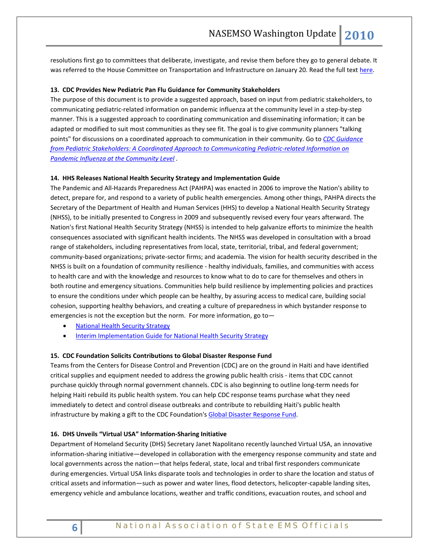resolutions first go to committees that deliberate, investigate, and revise them before they go to general debate. It was referred to the House Committee on Transportation and Infrastructure on January 20. Read the full tex[t here.](http://www.thomas.gov/cgi-bin/query/z?c111:H.R.4478:)

### **13. CDC Provides New Pediatric Pan Flu Guidance for Community Stakeholders**

The purpose of this document is to provide a suggested approach, based on input from pediatric stakeholders, to communicating pediatric-related information on pandemic influenza at the community level in a step-by-step manner. This is a suggested approach to coordinating communication and disseminating information; it can be adapted or modified to suit most communities as they see fit. The goal is to give community planners "talking points" for discussions on a coordinated approach to communication in their community. Go to *[CDC Guidance](http://links.govdelivery.com/track?type=click&enid=bWFpbGluZ2lkPTcwMzA4MSZtZXNzYWdlaWQ9UFJELUJVTC03MDMwODEmZGF0YWJhc2VpZD0xMDAxJnNlcmlhbD0xMjE1NjY0NDM2JmVtYWlsaWQ9cm9iaW5zb25AbmFzZW1zby5vcmcmdXNlcmlkPXJvYmluc29uQG5hc2Vtc28ub3JnJmV4dHJhPSYmJg==&&&100&&&http://www.cdc.gov/h1n1flu/guidance/pediatrics_tool.htm)  [from Pediatric Stakeholders: A Coordinated Approach to Communicating Pediatric-related Information on](http://links.govdelivery.com/track?type=click&enid=bWFpbGluZ2lkPTcwMzA4MSZtZXNzYWdlaWQ9UFJELUJVTC03MDMwODEmZGF0YWJhc2VpZD0xMDAxJnNlcmlhbD0xMjE1NjY0NDM2JmVtYWlsaWQ9cm9iaW5zb25AbmFzZW1zby5vcmcmdXNlcmlkPXJvYmluc29uQG5hc2Vtc28ub3JnJmV4dHJhPSYmJg==&&&100&&&http://www.cdc.gov/h1n1flu/guidance/pediatrics_tool.htm)  [Pandemic Influenza at the Community Level](http://links.govdelivery.com/track?type=click&enid=bWFpbGluZ2lkPTcwMzA4MSZtZXNzYWdlaWQ9UFJELUJVTC03MDMwODEmZGF0YWJhc2VpZD0xMDAxJnNlcmlhbD0xMjE1NjY0NDM2JmVtYWlsaWQ9cm9iaW5zb25AbmFzZW1zby5vcmcmdXNlcmlkPXJvYmluc29uQG5hc2Vtc28ub3JnJmV4dHJhPSYmJg==&&&100&&&http://www.cdc.gov/h1n1flu/guidance/pediatrics_tool.htm) .*

# **14. HHS Releases National Health Security Strategy and Implementation Guide**

The Pandemic and All-Hazards Preparedness Act (PAHPA) was enacted in 2006 to improve the Nation's ability to detect, prepare for, and respond to a variety of public health emergencies. Among other things, PAHPA directs the Secretary of the Department of Health and Human Services (HHS) to develop a National Health Security Strategy (NHSS), to be initially presented to Congress in 2009 and subsequently revised every four years afterward. The Nation's first National Health Security Strategy (NHSS) is intended to help galvanize efforts to minimize the health consequences associated with significant health incidents. The NHSS was developed in consultation with a broad range of stakeholders, including representatives from local, state, territorial, tribal, and federal government; community-based organizations; private-sector firms; and academia. The vision for health security described in the NHSS is built on a foundation of community resilience - healthy individuals, families, and communities with access to health care and with the knowledge and resources to know what to do to care for themselves and others in both routine and emergency situations. Communities help build resilience by implementing policies and practices to ensure the conditions under which people can be healthy, by assuring access to medical care, building social cohesion, supporting healthy behaviors, and creating a culture of preparedness in which bystander response to emergencies is not the exception but the norm. For more information, go to—

- [National Health Security Strategy](http://www.hhs.gov/aspr/opsp/nhss/nhss0912.pdf)
- [Interim Implementation Guide for National Health Security Strategy](http://www.hhs.gov/aspr/opsp/nhss/nhss_iig0912.pdf)

#### **15. CDC Foundation Solicits Contributions to Global Disaster Response Fund**

Teams from the Centers for Disease Control and Prevention (CDC) are on the ground in Haiti and have identified critical supplies and equipment needed to address the growing public health crisis - items that CDC cannot purchase quickly through normal government channels. CDC is also beginning to outline long-term needs for helping Haiti rebuild its public health system. You can help CDC response teams purchase what they need immediately to detect and control disease outbreaks and contribute to rebuilding Haiti's public health infrastructure by making a gift to the CDC Foundation's [Global Disaster Response Fund.](http://cl.exct.net/?ju=fe2416757c6702797d1171&ls=fdee117876610c7a7c167174&m=fef71676726207&l=fec0137674600c78&s=fdff1572756d057c7115747c&jb=ffcf14&t=)

### **16. DHS Unveils "Virtual USA" Information-Sharing Initiative**

Department of Homeland Security (DHS) Secretary Janet Napolitano recently launched Virtual USA, an innovative information-sharing initiative—developed in collaboration with the emergency response community and state and local governments across the nation—that helps federal, state, local and tribal first responders communicate during emergencies. Virtual USA links disparate tools and technologies in order to share the location and status of critical assets and information—such as power and water lines, flood detectors, helicopter-capable landing sites, emergency vehicle and ambulance locations, weather and traffic conditions, evacuation routes, and school and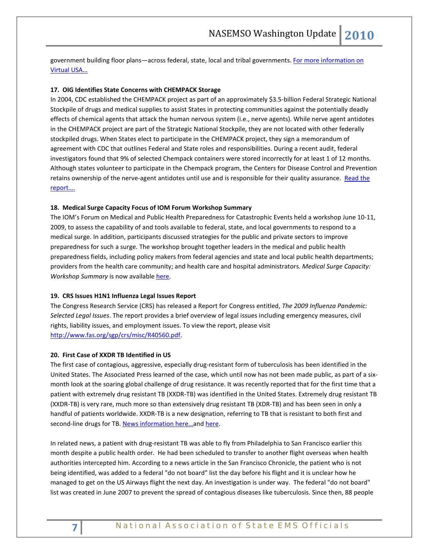government building floor plans—across federal, state, local and tribal governments[. For more information on](http://www.dhs.gov/ynews/releases/pr_1260375414161.shtm)  [Virtual USA…](http://www.dhs.gov/ynews/releases/pr_1260375414161.shtm)

# **17. OIG Identifies State Concerns with CHEMPACK Storage**

In 2004, CDC established the CHEMPACK project as part of an approximately \$3.5-billion Federal Strategic National Stockpile of drugs and medical supplies to assist States in protecting communities against the potentially deadly effects of chemical agents that attack the human nervous system (i.e., nerve agents). While nerve agent antidotes in the CHEMPACK project are part of the Strategic National Stockpile, they are not located with other federally stockpiled drugs. When States elect to participate in the CHEMPACK project, they sign a memorandum of agreement with CDC that outlines Federal and State roles and responsibilities. During a recent audit, federal investigators found that 9% of selected Chempack containers were stored incorrectly for at least 1 of 12 months. Although states volunteer to participate in the Chempack program, the Centers for Disease Control and Prevention retains ownership of the nerve-agent antidotes until use and is responsible for their quality assurance. [Read the](http://www.oig.hhs.gov/oei/reports/oei-04-08-00040.pdf)  [report….](http://www.oig.hhs.gov/oei/reports/oei-04-08-00040.pdf)

## **18. Medical Surge Capacity Focus of IOM Forum Workshop Summary**

The IOM's Forum on Medical and Public Health Preparedness for Catastrophic Events held a workshop June 10-11, 2009, to assess the capability of and tools available to federal, state, and local governments to respond to a medical surge. In addition, participants discussed strategies for the public and private sectors to improve preparedness for such a surge. The workshop brought together leaders in the medical and public health preparedness fields, including policy makers from federal agencies and state and local public health departments; providers from the health care community; and health care and hospital administrators. *Medical Surge Capacity: Workshop Summary* is now available [here.](http://www.iom.edu/Reports/2010/Medical-Surge-Capacity-Workshop-Summary.aspx)

#### **19. CRS Issues H1N1 Influenza Legal Issues Report**

The Congress Research Service (CRS) has released a Report for Congress entitled, *The 2009 Influenza Pandemic: Selected Legal Issues*. The report provides a brief overview of legal issues including emergency measures, civil rights, liability issues, and employment issues. To view the report, please visit [http://www.fas.org/sgp/crs/misc/R40560.pdf.](http://links.govdelivery.com/track?type=click&enid=bWFpbGluZ2lkPTY5NjQxMCZtZXNzYWdlaWQ9UFJELUJVTC02OTY0MTAmZGF0YWJhc2VpZD0xMDAxJnNlcmlhbD0xMjE1NjU3NjcyJmVtYWlsaWQ9cm9iaW5zb25AbmFzZW1zby5vcmcmdXNlcmlkPXJvYmluc29uQG5hc2Vtc28ub3JnJmV4dHJhPSYmJg==&&&103&&&http://www.fas.org/sgp/crs/misc/R40560.pdf)

## **20. First Case of XXDR TB Identified in US**

The first case of contagious, aggressive, especially drug-resistant form of tuberculosis has been identified in the United States. The Associated Press learned of the case, which until now has not been made public, as part of a sixmonth look at the soaring global challenge of drug resistance. It was recently reported that for the first time that a patient with extremely drug resistant TB (XXDR-TB) was identified in the United States. Extremely drug resistant TB (XXDR-TB) is very rare, much more so than extensively drug resistant TB (XDR-TB) and has been seen in only a handful of patients worldwide. XXDR-TB is a new designation, referring to TB that is resistant to both first and second-line drugs for TB. News information here...an[d here.](http://www.pediatricsupersite.com/view.aspx?rid=59864)

In related news, a patient with drug-resistant TB was able to fly from Philadelphia to San Francisco earlier this month despite a public health order. He had been scheduled to transfer to another flight overseas when health authorities intercepted him. According to a news article in the San Francisco Chronicle, the patient who is not being identified, was added to a federal "do not board" list the day before his flight and it is unclear how he managed to get on the US Airways flight the next day. An investigation is under way. The federal "do not board" list was created in June 2007 to prevent the spread of contagious diseases like tuberculosis. Since then, 88 people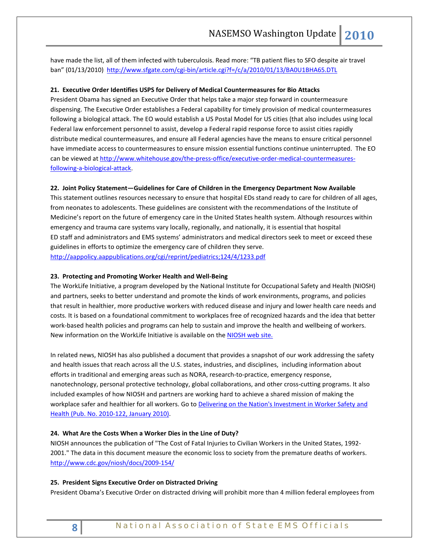have made the list, all of them infected with tuberculosis. Read more: "TB patient flies to SFO despite air travel ban" (01/13/2010) [http://www.sfgate.com/cgi-bin/article.cgi?f=/c/a/2010/01/13/BA0U1BHA65.DTL](http://links.govdelivery.com/track?type=click&enid=bWFpbGluZ2lkPTY5NjQxMCZtZXNzYWdlaWQ9UFJELUJVTC02OTY0MTAmZGF0YWJhc2VpZD0xMDAxJnNlcmlhbD0xMjE1NjU3NjcyJmVtYWlsaWQ9cm9iaW5zb25AbmFzZW1zby5vcmcmdXNlcmlkPXJvYmluc29uQG5hc2Vtc28ub3JnJmV4dHJhPSYmJg==&&&128&&&http://www.sfgate.com/cgi-bin/article.cgi?f=/c/a/2010/01/13/BA0U1BHA65.DTL)

### **21. Executive Order Identifies USPS for Delivery of Medical Countermeasures for Bio Attacks**

President Obama has signed an Executive Order that helps take a major step forward in countermeasure dispensing. The Executive Order establishes a Federal capability for timely provision of medical countermeasures following a biological attack. The EO would establish a US Postal Model for US cities (that also includes using local Federal law enforcement personnel to assist, develop a Federal rapid response force to assist cities rapidly distribute medical countermeasures, and ensure all Federal agencies have the means to ensure critical personnel have immediate access to countermeasures to ensure mission essential functions continue uninterrupted. The EO can be viewed at [http://www.whitehouse.gov/the-press-office/executive-order-medical-countermeasures](http://www.whitehouse.gov/the-press-office/executive-order-medical-countermeasures-following-a-biological-attack)[following-a-biological-attack.](http://www.whitehouse.gov/the-press-office/executive-order-medical-countermeasures-following-a-biological-attack) 

# **22. Joint Policy Statement—Guidelines for Care of Children in the Emergency Department Now Available**

This statement outlines resources necessary to ensure that hospital EDs stand ready to care for children of all ages, from neonates to adolescents. These guidelines are consistent with the recommendations of the Institute of Medicine's report on the future of emergency care in the United States health system. Although resources within emergency and trauma care systems vary locally, regionally, and nationally, it is essential that hospital ED staff and administrators and EMS systems' administrators and medical directors seek to meet or exceed these guidelines in efforts to optimize the emergency care of children they serve. <http://aappolicy.aappublications.org/cgi/reprint/pediatrics;124/4/1233.pdf>

# **23. Protecting and Promoting Worker Health and Well-Being**

The WorkLife Initiative, a program developed by the National Institute for Occupational Safety and Health (NIOSH) and partners, seeks to better understand and promote the kinds of work environments, programs, and policies that result in healthier, more productive workers with reduced disease and injury and lower health care needs and costs. It is based on a foundational commitment to workplaces free of recognized hazards and the idea that better work-based health policies and programs can help to sustain and improve the health and wellbeing of workers. New information on the WorkLife Initiative is available on the [NIOSH web site.](http://www.cdc.gov/niosh/docs/2009-146/pdfs/worklifefactsheetJune2009.pdf)

In related news, NIOSH has also published a document that provides a snapshot of our work addressing the safety and health issues that reach across all the U.S. states, industries, and disciplines, including information about efforts in traditional and emerging areas such as NORA, research-to-practice, emergency response, nanotechnology, personal protective technology, global collaborations, and other cross-cutting programs. It also included examples of how NIOSH and partners are working hard to achieve a shared mission of making the workplace safer and healthier for all workers. Go to Delivering on the Nation's Investment in Worker Safety and [Health \(Pub. No. 2010-122, January 2010\).](http://www.cdc.gov/niosh/docs/2010-122/) 

#### **24. What Are the Costs When a Worker Dies in the Line of Duty?**

NIOSH announces the publication of "The Cost of Fatal Injuries to Civilian Workers in the United States, 1992- 2001." The data in this document measure the economic loss to society from the premature deaths of workers. <http://www.cdc.gov/niosh/docs/2009-154/>

#### **25. President Signs Executive Order on Distracted Driving**

President Obama's Executive Order on distracted driving will prohibit more than 4 million federal employees from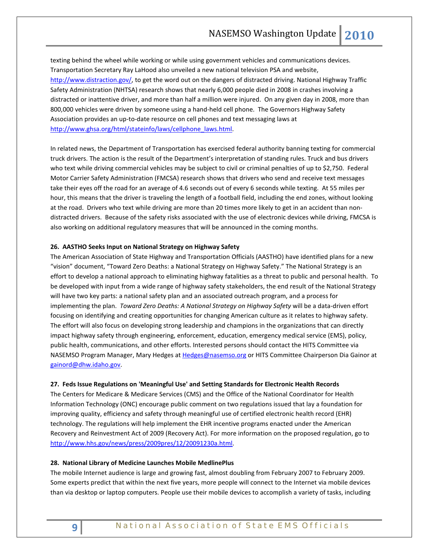texting behind the wheel while working or while using government vehicles and communications devices. Transportation Secretary Ray LaHood also unveiled a new national television PSA and website, [http://www.distraction.gov/,](http://links.govdelivery.com/track?type=click&enid=bWFpbGluZ2lkPTY3NTIzNyZtZXNzYWdlaWQ9UFJELUJVTC02NzUyMzcmZGF0YWJhc2VpZD0xMDAxJnNlcmlhbD0xMjE1NjM5MjQ5JmVtYWlsaWQ9cm9iaW5zb25AbmFzZW1zby5vcmcmdXNlcmlkPXJvYmluc29uQG5hc2Vtc28ub3JnJmV4dHJhPSYmJg==&&&101&&&http://www.distraction.gov/) to get the word out on the dangers of distracted driving. National Highway Traffic Safety Administration (NHTSA) research shows that nearly 6,000 people died in 2008 in crashes involving a distracted or inattentive driver, and more than half a million were injured. On any given day in 2008, more than 800,000 vehicles were driven by someone using a hand-held cell phone. The Governors Highway Safety Association provides an up-to-date resource on cell phones and text messaging laws at http://www.ghsa.org/html/stateinfo/laws/cellphone\_laws.html.

In related news, the Department of Transportation has exercised federal authority banning texting for commercial truck drivers. The action is the result of the Department's interpretation of standing rules. Truck and bus drivers who text while driving commercial vehicles may be subject to civil or criminal penalties of up to \$2,750. Federal Motor Carrier Safety Administration (FMCSA) research shows that drivers who send and receive text messages take their eyes off the road for an average of 4.6 seconds out of every 6 seconds while texting. At 55 miles per hour, this means that the driver is traveling the length of a football field, including the end zones, without looking at the road. Drivers who text while driving are more than 20 times more likely to get in an accident than nondistracted drivers. Because of the safety risks associated with the use of electronic devices while driving, FMCSA is also working on additional regulatory measures that will be announced in the coming months.

## **26. AASTHO Seeks Input on National Strategy on Highway Safety**

The American Association of State Highway and Transportation Officials (AASTHO) have identified plans for a new "vision" document, "Toward Zero Deaths: a National Strategy on Highway Safety." The National Strategy is an effort to develop a national approach to eliminating highway fatalities as a threat to public and personal health. To be developed with input from a wide range of highway safety stakeholders, the end result of the National Strategy will have two key parts: a national safety plan and an associated outreach program, and a process for implementing the plan. *Toward Zero Deaths: A National Strategy on Highway Safety* will be a data-driven effort focusing on identifying and creating opportunities for changing American culture as it relates to highway safety. The effort will also focus on developing strong leadership and champions in the organizations that can directly impact highway safety through engineering, enforcement, education, emergency medical service (EMS), policy, public health, communications, and other efforts. Interested persons should contact the HITS Committee via NASEMSO Program Manager, Mary Hedges a[t Hedges@nasemso.org](mailto:Hedges@nasemso.org) or HITS Committee Chairperson Dia Gainor at [gainord@dhw.idaho.gov.](mailto:gainord@dhw.idaho.gov)

#### **27. Feds Issue Regulations on 'Meaningful Use' and Setting Standards for Electronic Health Records**

The Centers for Medicare & Medicare Services (CMS) and the Office of the National Coordinator for Health Information Technology (ONC) encourage public comment on two regulations issued that lay a foundation for improving quality, efficiency and safety through meaningful use of certified electronic health record (EHR) technology. The regulations will help implement the EHR incentive programs enacted under the American Recovery and Reinvestment Act of 2009 (Recovery Act). For more information on the proposed regulation, go to [http://www.hhs.gov/news/press/2009pres/12/20091230a.html.](http://www.hhs.gov/news/press/2009pres/12/20091230a.html)

#### **28. National Library of Medicine Launches Mobile MedlinePlus**

The mobile Internet audience is large and growing fast, almost doubling from February 2007 to February 2009. Some experts predict that within the next five years, more people will connect to the Internet via mobile devices than via desktop or laptop computers. People use their mobile devices to accomplish a variety of tasks, including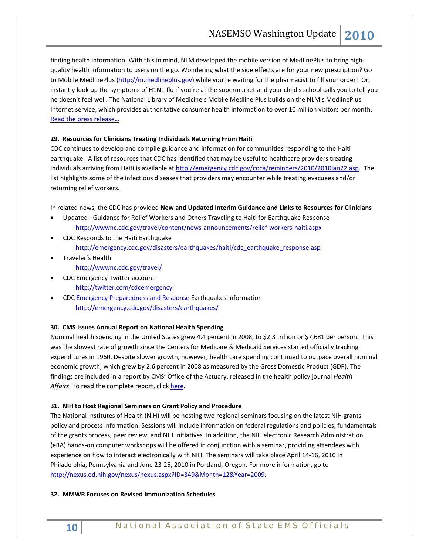finding health information. With this in mind, NLM developed the mobile version of MedlinePlus to bring highquality health information to users on the go. Wondering what the side effects are for your new prescription? Go to Mobile MedlinePlus [\(http://m.medlineplus.gov\)](http://m.medlineplus.gov/) while you're waiting for the pharmacist to fill your order! Or, instantly look up the symptoms of H1N1 flu if you're at the supermarket and your child's school calls you to tell you he doesn't feel well. The National Library of Medicine's Mobile Medline Plus builds on the NLM's MedlinePlus Internet service, which provides authoritative consumer health information to over 10 million visitors per month. [Read the press release…](http://www.nih.gov/news/health/jan2010/nlm-22.htm)

# **29. Resources for Clinicians Treating Individuals Returning From Haiti**

CDC continues to develop and compile guidance and information for communities responding to the Haiti earthquake. A list of resources that CDC has identified that may be useful to healthcare providers treating individuals arriving from Haiti is available at [http://emergency.cdc.gov/coca/reminders/2010/2010jan22.asp.](http://emergency.cdc.gov/coca/reminders/2010/2010jan22.asp) The list highlights some of the infectious diseases that providers may encounter while treating evacuees and/or returning relief workers.

In related news, the CDC has provided **New and Updated Interim Guidance and Links to Resources for Clinicians**

- Updated Guidance for Relief Workers and Others Traveling to Haiti for Earthquake Response <http://wwwnc.cdc.gov/travel/content/news-announcements/relief-workers-haiti.aspx>
- CDC Responds to the Haiti Earthquake [http://emergency.cdc.gov/disasters/earthquakes/haiti/cdc\\_earthquake\\_response.asp](http://emergency.cdc.gov/disasters/earthquakes/haiti/cdc_earthquake_response.asp)
- Traveler's Health <http://wwwnc.cdc.gov/travel/>
- CDC Emergency Twitter account <http://twitter.com/cdcemergency>
- CDC [Emergency Preparedness and Response](http://emergency.cdc.gov/) Earthquakes Information <http://emergency.cdc.gov/disasters/earthquakes/>

# **30. CMS Issues Annual Report on National Health Spending**

Nominal health spending in the United States grew 4.4 percent in 2008, to \$2.3 trillion or \$7,681 per person. This was the slowest rate of growth since the Centers for Medicare & Medicaid Services started officially tracking expenditures in 1960. Despite slower growth, however, health care spending continued to outpace overall nominal economic growth, which grew by 2.6 percent in 2008 as measured by the Gross Domestic Product (GDP). The findings are included in a report by CMS' Office of the Actuary, released in the health policy journal *Health*  Affairs. To read the complete report, clic[k here.](http://www.cms.hhs.gov/NationalHealthExpendData/02_NationalHealthAccountsHistorical.asp#TopOfPage)

# **31. NIH to Host Regional Seminars on Grant Policy and Procedure**

The National Institutes of Health (NIH) will be hosting two regional seminars focusing on the latest NIH grants policy and process information. Sessions will include information on federal regulations and policies, fundamentals of the grants process, peer review, and NIH initiatives. In addition, the NIH electronic Research Administration (eRA) hands-on computer workshops will be offered in conjunction with a seminar, providing attendees with experience on how to interact electronically with NIH. The seminars will take place April 14-16, 2010 in Philadelphia, Pennsylvania and June 23-25, 2010 in Portland, Oregon. For more information, go to [http://nexus.od.nih.gov/nexus/nexus.aspx?ID=349&Month=12&Year=2009.](http://nexus.od.nih.gov/nexus/nexus.aspx?ID=349&Month=12&Year=2009)

## **32. MMWR Focuses on Revised Immunization Schedules**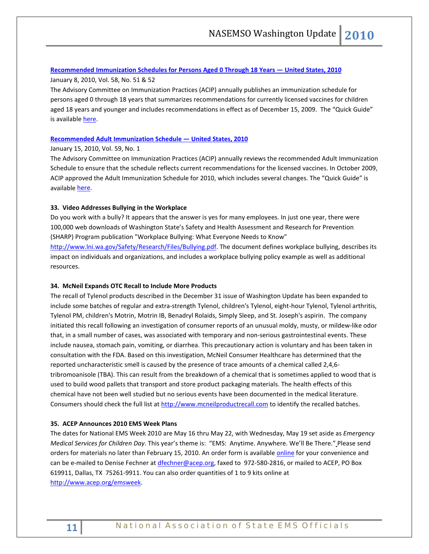## **[Recommended Immunization Schedules for Persons Aged 0 Through 18 Years —](http://www.cdc.gov/mmwr/preview/mmwrhtml/mm5851a6.htm) United States, 2010**

January 8, 2010, Vol. 58, No. 51 & 52

The Advisory Committee on Immunization Practices (ACIP) annually publishes an immunization schedule for persons aged 0 through 18 years that summarizes recommendations for currently licensed vaccines for children aged 18 years and younger and includes recommendations in effect as of December 15, 2009. The "Quick Guide" is availabl[e here.](http://www.cdc.gov/mmwr/PDF/wk/mm5851-Immunization.pdf)

# **[Recommended Adult Immunization Schedule —](http://www.cdc.gov/mmwr/preview/mmwrhtml/mm5901a5.htm) United States, 2010**

January 15, 2010, Vol. 59, No. 1

The Advisory Committee on Immunization Practices (ACIP) annually reviews the recommended Adult Immunization Schedule to ensure that the schedule reflects current recommendations for the licensed vaccines. In October 2009, ACIP approved the Adult Immunization Schedule for 2010, which includes several changes. The "Quick Guide" is available [here.](http://www.cdc.gov/mmwr/PDF/wk/mm5901-Immunization.pdf)

# **33. Video Addresses Bullying in the Workplace**

Do you work with a bully? It appears that the answer is yes for many employees. In just one year, there were 100,000 web downloads of Washington State's Safety and Health Assessment and Research for Prevention (SHARP) Program publication "Workplace Bullying: What Everyone Needs to Know" [http://www.lni.wa.gov/Safety/Research/Files/Bullying.pdf.](http://www.lni.wa.gov/Safety/Research/Files/Bullying.pdf) The document defines workplace bullying, describes its impact on individuals and organizations, and includes a workplace bullying policy example as well as additional

resources.

# **34. McNeil Expands OTC Recall to Include More Products**

The recall of Tylenol products described in the December 31 issue of Washington Update has been expanded to include some batches of regular and extra-strength Tylenol, children's Tylenol, eight-hour Tylenol, Tylenol arthritis, Tylenol PM, children's Motrin, Motrin IB, Benadryl Rolaids, Simply Sleep, and St. Joseph's aspirin. The company initiated this recall following an investigation of consumer reports of an unusual moldy, musty, or mildew-like odor that, in a small number of cases, was associated with temporary and non-serious gastrointestinal events. These include nausea, stomach pain, vomiting, or diarrhea. This precautionary action is voluntary and has been taken in consultation with the FDA. Based on this investigation, McNeil Consumer Healthcare has determined that the reported uncharacteristic smell is caused by the presence of trace amounts of a chemical called 2,4,6 tribromoanisole (TBA). This can result from the breakdown of a chemical that is sometimes applied to wood that is used to build wood pallets that transport and store product packaging materials. The health effects of this chemical have not been well studied but no serious events have been documented in the medical literature. Consumers should check the full list at [http://www.mcneilproductrecall.com](http://us.rd.yahoo.com/dailynews/ap/ap_on_bi_ge/storytext/us_johnson___johnson_tylenol_recall/34750619/SIG=1144vpchf/*http:/www.mcneilproductrecall.com) to identify the recalled batches.

# **35. ACEP Announces 2010 EMS Week Plans**

The dates for National EMS Week 2010 are May 16 thru May 22, with Wednesday, May 19 set aside as *Emergency Medical Services for Children Day*. This year's theme is: "EMS: Anytime. Anywhere. We'll Be There." Please send orders for materials no later than February 15, 2010. An order form is available [online](http://www.acep.org/emsweek) for your convenience and can be e-mailed to Denise Fechner at [dfechner@acep.org,](mailto:dfechner@acep.org) faxed to 972-580-2816, or mailed to ACEP, PO Box 619911, Dallas, TX 75261-9911. You can also order quantities of 1 to 9 kits online at [http://www.acep.org/emsweek.](http://www.acep.org/emsweek)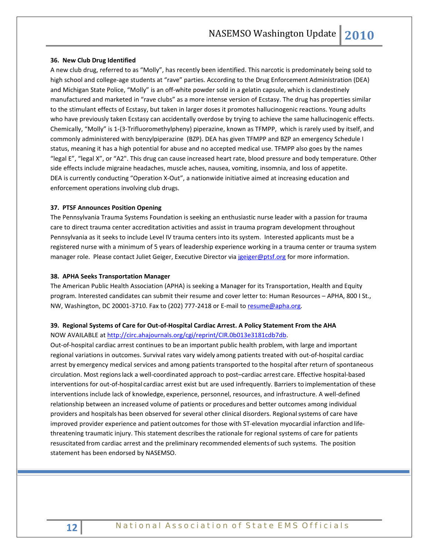### **36. New Club Drug Identified**

A new club drug, referred to as "Molly", has recently been identified. This narcotic is predominately being sold to high school and college-age students at "rave" parties. According to the Drug Enforcement Administration (DEA) and Michigan State Police, "Molly" is an off-white powder sold in a gelatin capsule, which is clandestinely manufactured and marketed in "rave clubs" as a more intense version of Ecstasy. The drug has properties similar to the stimulant effects of Ecstasy, but taken in larger doses it promotes hallucinogenic reactions. Young adults who have previously taken Ecstasy can accidentally overdose by trying to achieve the same hallucinogenic effects. Chemically, "Molly" is 1-(3-Trifluoromethylpheny) piperazine, known as TFMPP, which is rarely used by itself, and commonly administered with benzylpiperazine (BZP). DEA has given TFMPP and BZP an emergency Schedule I status, meaning it has a high potential for abuse and no accepted medical use. TFMPP also goes by the names "legal E", "legal X", or "A2". This drug can cause increased heart rate, blood pressure and body temperature. Other side effects include migraine headaches, muscle aches, nausea, vomiting, insomnia, and loss of appetite. DEA is currently conducting "Operation X-Out", a nationwide initiative aimed at increasing education and enforcement operations involving club drugs.

#### **37. PTSF Announces Position Opening**

The Pennsylvania Trauma Systems Foundation is seeking an enthusiastic nurse leader with a passion for trauma care to direct trauma center accreditation activities and assist in trauma program development throughout Pennsylvania as it seeks to include Level IV trauma centers into its system. Interested applicants must be a registered nurse with a minimum of 5 years of leadership experience working in a trauma center or trauma system manager role. Please contact Juliet Geiger, Executive Director via [jgeiger@ptsf.org](mailto:jgeiger@ptsf.org) for more information.

### **38. APHA Seeks Transportation Manager**

The American Public Health Association (APHA) is seeking a Manager for its Transportation, Health and Equity program. Interested candidates can submit their resume and cover letter to: Human Resources – APHA, 800 I St., NW, Washington, DC 20001-3710. Fax to (202) 777-2418 or E-mail t[o resume@apha.org.](mailto:resume@apha.org)

# **39. Regional Systems of Care for Out-of-Hospital Cardiac Arrest. A Policy Statement From the AHA**  NOW AVAILABLE at [http://circ.ahajournals.org/cgi/reprint/CIR.0b013e3181cdb7db.](http://circ.ahajournals.org/cgi/reprint/CIR.0b013e3181cdb7db)

Out-of-hospital cardiac arrest continues to be an important public health problem, with large and important regional variations in outcomes. Survival rates vary widely among patients treated with out-of-hospital cardiac arrest by emergency medical services and among patients transported to the hospital after return of spontaneous circulation. Most regionslack a well-coordinated approach to post–cardiac arrest care. Effective hospital-based interventions for out-of-hospital cardiac arrest exist but are used infrequently. Barriers to implementation of these interventions include lack of knowledge, experience, personnel, resources, and infrastructure. A well-defined relationship between an increased volume of patients or procedures and better outcomes among individual providers and hospitals has been observed for several other clinical disorders. Regionalsystems of care have improved provider experience and patient outcomes for those with ST-elevation myocardial infarction and lifethreatening traumatic injury. This statement describesthe rationale for regional systems of care for patients resuscitated from cardiac arrest and the preliminary recommended elements of such systems. The position statement has been endorsed by NASEMSO.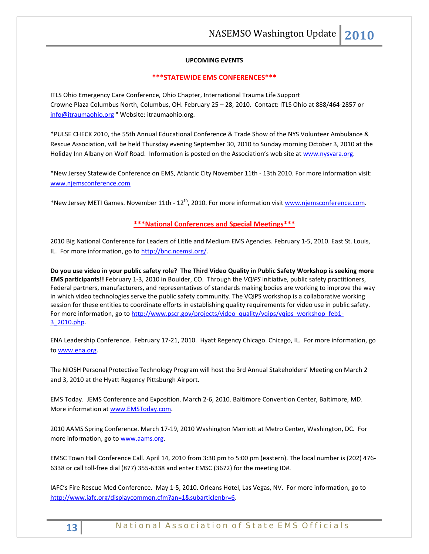# **UPCOMING EVENTS**

### **\*\*\*STATEWIDE EMS CONFERENCES\*\*\***

ITLS Ohio Emergency Care Conference, Ohio Chapter, International Trauma Life Support Crowne Plaza Columbus North, Columbus, OH. February 25 – 28, 2010. Contact: ITLS Ohio at 888/464-2857 or [info@itraumaohio.org](mailto:info@itraumaohio.org) " Website: itraumaohio.org.

\*PULSE CHECK 2010, the 55th Annual Educational Conference & Trade Show of the NYS Volunteer Ambulance & Rescue Association, will be held Thursday evening September 30, 2010 to Sunday morning October 3, 2010 at the Holiday Inn Albany on Wolf Road. Information is posted on the Association's web site at [www.nysvara.org.](http://www.nysvara.org/)

\*New Jersey Statewide Conference on EMS, Atlantic City November 11th - 13th 2010. For more information visit: [www.njemsconference.com](http://www.njemsconference.com/)

\*New Jersey METI Games. November 11th - 12<sup>th</sup>, 2010. For more information visit [www.njemsconference.com.](http://www.njemsconference.com/)

# **\*\*\*National Conferences and Special Meetings\*\*\***

2010 Big National Conference for Leaders of Little and Medium EMS Agencies. February 1-5, 2010. East St. Louis, IL. For more information, go t[o http://bnc.ncemsi.org/.](http://bnc.ncemsi.org/)

**Do you use video in your public safety role? The Third Video Quality in Public Safety Workshop is seeking more EMS participants!!** February 1-3, 2010 in Boulder, CO. Through the *VQiPS* initiative, public safety practitioners, Federal partners, manufacturers, and representatives of standards making bodies are working to improve the way in which video technologies serve the public safety community. The VQiPS workshop is a collaborative working session for these entities to coordinate efforts in establishing quality requirements for video use in public safety. For more information, go to [http://www.pscr.gov/projects/video\\_quality/vqips/vqips\\_workshop\\_feb1-](http://www.pscr.gov/projects/video_quality/vqips/vqips_workshop_feb1-3_2010.php) [3\\_2010.php.](http://www.pscr.gov/projects/video_quality/vqips/vqips_workshop_feb1-3_2010.php)

ENA Leadership Conference. February 17-21, 2010. Hyatt Regency Chicago. Chicago, IL. For more information, go to [www.ena.org.](http://www.ena.org/)

The NIOSH Personal Protective Technology Program will host the 3rd Annual Stakeholders' Meeting on March 2 and 3, 2010 at the Hyatt Regency Pittsburgh Airport.

EMS Today. JEMS Conference and Exposition. March 2-6, 2010. Baltimore Convention Center, Baltimore, MD. More information a[t www.EMSToday.com.](http://www.emstoday.com/)

2010 AAMS Spring Conference. March 17-19, 2010 Washington Marriott at Metro Center, Washington, DC. For more information, go to [www.aams.org.](http://www.aams.org/)

EMSC Town Hall Conference Call. April 14, 2010 from 3:30 pm to 5:00 pm (eastern). The local number is (202) 476- 6338 or call toll-free dial (877) 355-6338 and enter EMSC (3672) for the meeting ID#.

IAFC's Fire Rescue Med Conference. May 1-5, 2010. Orleans Hotel, Las Vegas, NV. For more information, go to [http://www.iafc.org/displaycommon.cfm?an=1&subarticlenbr=6.](http://www.iafc.org/displaycommon.cfm?an=1&subarticlenbr=6)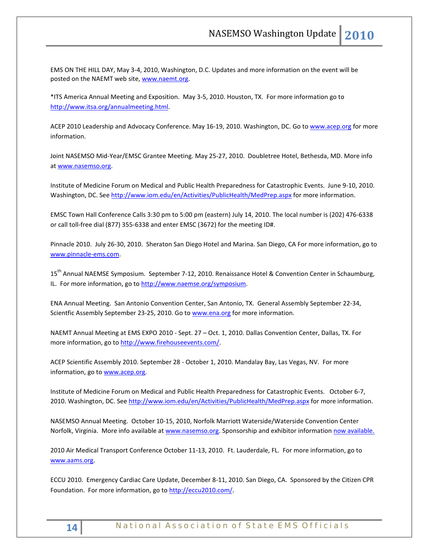EMS ON THE HILL DAY, May 3-4, 2010, Washington, D.C. Updates and more information on the event will be posted on the NAEMT web site[, www.naemt.org.](http://www.naemt.org/)

\*ITS America Annual Meeting and Exposition. May 3-5, 2010. Houston, TX. For more information go to [http://www.itsa.org/annualmeeting.html.](http://www.itsa.org/annualmeeting.html) 

ACEP 2010 Leadership and Advocacy Conference. May 16-19, 2010. Washington, DC. Go t[o www.acep.org](http://www.acep.org/) for more information.

Joint NASEMSO Mid-Year/EMSC Grantee Meeting. May 25-27, 2010. Doubletree Hotel, Bethesda, MD. More info a[t www.nasemso.org.](http://www.nasemso.org/) 

Institute of Medicine Forum on Medical and Public Health Preparedness for Catastrophic Events. June 9-10, 2010. Washington, DC. See<http://www.iom.edu/en/Activities/PublicHealth/MedPrep.aspx> for more information.

EMSC Town Hall Conference Calls 3:30 pm to 5:00 pm (eastern) July 14, 2010. The local number is (202) 476-6338 or call toll-free dial (877) 355-6338 and enter EMSC (3672) for the meeting ID#.

Pinnacle 2010. July 26-30, 2010. Sheraton San Diego Hotel and Marina. San Diego, CA For more information, go to [www.pinnacle-ems.com.](http://www.pinnacle-ems.com/) 

15<sup>th</sup> Annual NAEMSE Symposium. September 7-12, 2010. Renaissance Hotel & Convention Center in Schaumburg, IL. For more information, go to http://www.naemse.org/symposium.

ENA Annual Meeting. San Antonio Convention Center, San Antonio, TX. General Assembly September 22-34, Scientfic Assembly September 23-25, 2010. Go to [www.ena.org](http://www.ena.org/) for more information.

NAEMT Annual Meeting at EMS EXPO 2010 - Sept. 27 – Oct. 1, 2010. Dallas Convention Center, Dallas, TX. For more information, go to [http://www.firehouseevents.com/.](http://www.firehouseevents.com/)

ACEP Scientific Assembly 2010. September 28 - October 1, 2010. Mandalay Bay, Las Vegas, NV. For more information, go to www.acep.org.

Institute of Medicine Forum on Medical and Public Health Preparedness for Catastrophic Events. October 6-7, 2010. Washington, DC. See<http://www.iom.edu/en/Activities/PublicHealth/MedPrep.aspx> for more information.

NASEMSO Annual Meeting. October 10-15, 2010, Norfolk Marriott Waterside/Waterside Convention Center Norfolk, Virginia. More info available at [www.nasemso.org.](http://www.nasemso.org/) Sponsorship and exhibitor information [now available.](http://www.nasemso.org/Meetings/Annual/NASEMSO2010Sponsors-Exhibitors.asp)

2010 Air Medical Transport Conference October 11-13, 2010. Ft. Lauderdale, FL. For more information, go to [www.aams.org.](http://www.aams.org/) 

ECCU 2010. Emergency Cardiac Care Update, December 8-11, 2010. San Diego, CA. Sponsored by the Citizen CPR Foundation. For more information, go t[o http://eccu2010.com/.](http://eccu2010.com/)